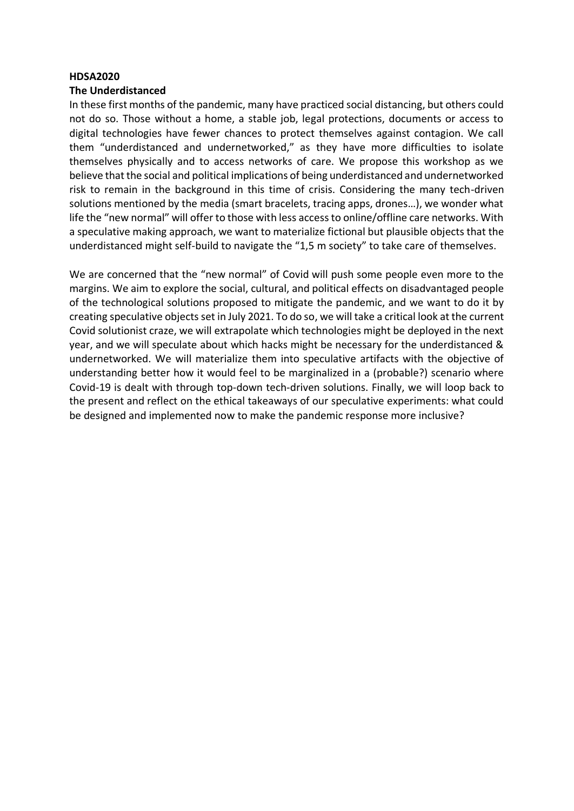#### **HDSA2020**

#### **The Underdistanced**

In these first months of the pandemic, many have practiced social distancing, but others could not do so. Those without a home, a stable job, legal protections, documents or access to digital technologies have fewer chances to protect themselves against contagion. We call them "underdistanced and undernetworked," as they have more difficulties to isolate themselves physically and to access networks of care. We propose this workshop as we believe that the social and political implications of being underdistanced and undernetworked risk to remain in the background in this time of crisis. Considering the many tech-driven solutions mentioned by the media (smart bracelets, tracing apps, drones…), we wonder what life the "new normal" will offer to those with less access to online/offline care networks. With a speculative making approach, we want to materialize fictional but plausible objects that the underdistanced might self-build to navigate the "1,5 m society" to take care of themselves.

We are concerned that the "new normal" of Covid will push some people even more to the margins. We aim to explore the social, cultural, and political effects on disadvantaged people of the technological solutions proposed to mitigate the pandemic, and we want to do it by creating speculative objects set in July 2021. To do so, we will take a critical look at the current Covid solutionist craze, we will extrapolate which technologies might be deployed in the next year, and we will speculate about which hacks might be necessary for the underdistanced & undernetworked. We will materialize them into speculative artifacts with the objective of understanding better how it would feel to be marginalized in a (probable?) scenario where Covid-19 is dealt with through top-down tech-driven solutions. Finally, we will loop back to the present and reflect on the ethical takeaways of our speculative experiments: what could be designed and implemented now to make the pandemic response more inclusive?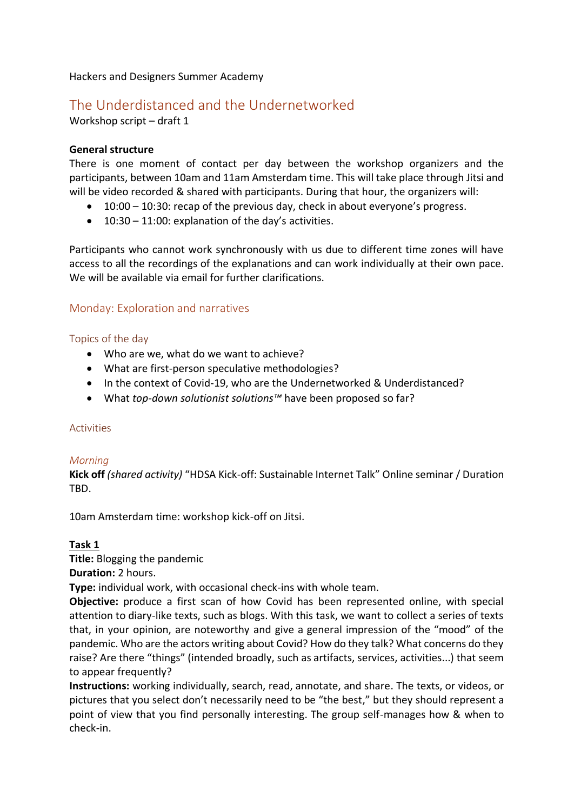Hackers and Designers Summer Academy

# The Underdistanced and the Undernetworked

Workshop script – draft 1

# **General structure**

There is one moment of contact per day between the workshop organizers and the participants, between 10am and 11am Amsterdam time. This will take place through Jitsi and will be video recorded & shared with participants. During that hour, the organizers will:

- 10:00 10:30: recap of the previous day, check in about everyone's progress.
- 10:30 11:00: explanation of the day's activities.

Participants who cannot work synchronously with us due to different time zones will have access to all the recordings of the explanations and can work individually at their own pace. We will be available via email for further clarifications.

# Monday: Exploration and narratives

### Topics of the day

- Who are we, what do we want to achieve?
- What are first-person speculative methodologies?
- In the context of Covid-19, who are the Undernetworked & Underdistanced?
- What *top-down solutionist solutions™* have been proposed so far?

#### Activities

#### *Morning*

**Kick off** *(shared activity)* "HDSA Kick-off: Sustainable Internet Talk" Online seminar / Duration TBD.

10am Amsterdam time: workshop kick-off on Jitsi.

# **Task 1**

**Title:** Blogging the pandemic

**Duration:** 2 hours.

**Type:** individual work, with occasional check-ins with whole team.

**Objective:** produce a first scan of how Covid has been represented online, with special attention to diary-like texts, such as blogs. With this task, we want to collect a series of texts that, in your opinion, are noteworthy and give a general impression of the "mood" of the pandemic. Who are the actors writing about Covid? How do they talk? What concerns do they raise? Are there "things" (intended broadly, such as artifacts, services, activities...) that seem to appear frequently?

**Instructions:** working individually, search, read, annotate, and share. The texts, or videos, or pictures that you select don't necessarily need to be "the best," but they should represent a point of view that you find personally interesting. The group self-manages how & when to check-in.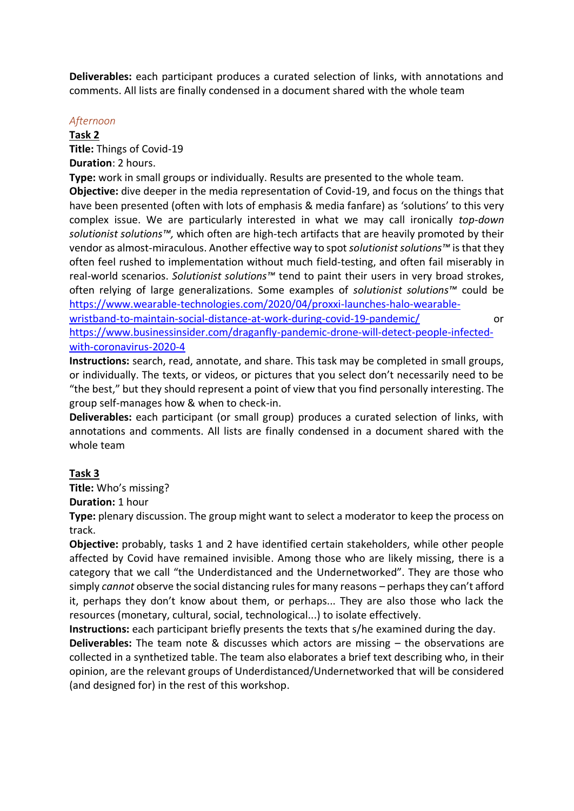**Deliverables:** each participant produces a curated selection of links, with annotations and comments. All lists are finally condensed in a document shared with the whole team

#### *Afternoon*

**Task 2 Title:** Things of Covid-19 **Duration**: 2 hours.

**Type:** work in small groups or individually. Results are presented to the whole team.

**Objective:** dive deeper in the media representation of Covid-19, and focus on the things that have been presented (often with lots of emphasis & media fanfare) as 'solutions' to this very complex issue. We are particularly interested in what we may call ironically *top-down solutionist solutions™,* which often are high-tech artifacts that are heavily promoted by their vendor as almost-miraculous. Another effective way to spot *solutionist solutions™* is that they often feel rushed to implementation without much field-testing, and often fail miserably in real-world scenarios. *Solutionist solutions™* tend to paint their users in very broad strokes, often relying of large generalizations. Some examples of *solutionist solutions™* could be [https://www.wearable-technologies.com/2020/04/proxxi-launches-halo-wearable-](https://www.wearable-technologies.com/2020/04/proxxi-launches-halo-wearable-wristband-to-maintain-social-distance-at-work-during-covid-19-pandemic/)

[wristband-to-maintain-social-distance-at-work-during-covid-19-pandemic/](https://www.wearable-technologies.com/2020/04/proxxi-launches-halo-wearable-wristband-to-maintain-social-distance-at-work-during-covid-19-pandemic/) or [https://www.businessinsider.com/draganfly-pandemic-drone-will-detect-people-infected](https://www.businessinsider.com/draganfly-pandemic-drone-will-detect-people-infected-with-coronavirus-2020-4?international=true&r=US&IR=T#the-drones-sending-reading-information-back-8)[with-coronavirus-2020-4](https://www.businessinsider.com/draganfly-pandemic-drone-will-detect-people-infected-with-coronavirus-2020-4?international=true&r=US&IR=T#the-drones-sending-reading-information-back-8)

**Instructions:** search, read, annotate, and share. This task may be completed in small groups, or individually. The texts, or videos, or pictures that you select don't necessarily need to be "the best," but they should represent a point of view that you find personally interesting. The group self-manages how & when to check-in.

**Deliverables:** each participant (or small group) produces a curated selection of links, with annotations and comments. All lists are finally condensed in a document shared with the whole team

# **Task 3**

**Title:** Who's missing?

**Duration:** 1 hour

**Type:** plenary discussion. The group might want to select a moderator to keep the process on track.

**Objective:** probably, tasks 1 and 2 have identified certain stakeholders, while other people affected by Covid have remained invisible. Among those who are likely missing, there is a category that we call "the Underdistanced and the Undernetworked". They are those who simply *cannot* observe the social distancing rules for many reasons – perhaps they can't afford it, perhaps they don't know about them, or perhaps... They are also those who lack the resources (monetary, cultural, social, technological...) to isolate effectively.

**Instructions:** each participant briefly presents the texts that s/he examined during the day.

**Deliverables:** The team note & discusses which actors are missing – the observations are collected in a synthetized table. The team also elaborates a brief text describing who, in their opinion, are the relevant groups of Underdistanced/Undernetworked that will be considered (and designed for) in the rest of this workshop.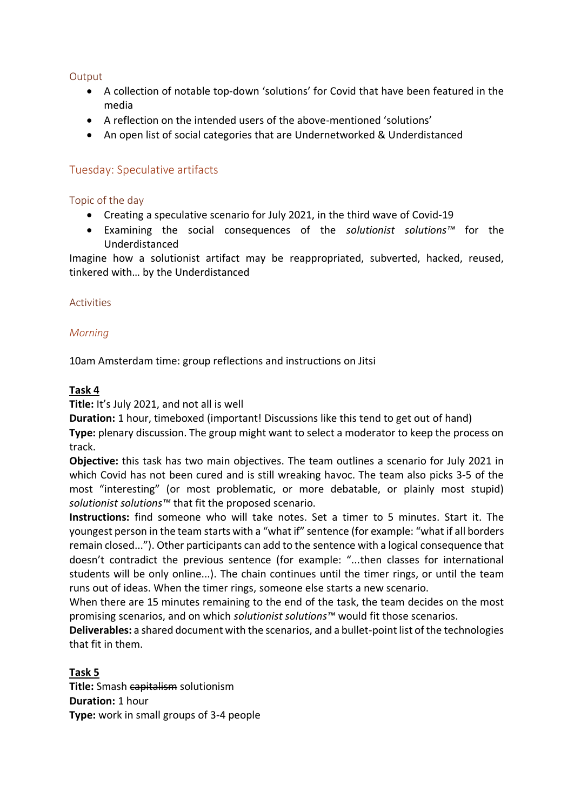# **Output**

- A collection of notable top-down 'solutions' for Covid that have been featured in the media
- A reflection on the intended users of the above-mentioned 'solutions'
- An open list of social categories that are Undernetworked & Underdistanced

# Tuesday: Speculative artifacts

# Topic of the day

- Creating a speculative scenario for July 2021, in the third wave of Covid-19
- Examining the social consequences of the *solutionist solutions™* for the Underdistanced

Imagine how a solutionist artifact may be reappropriated, subverted, hacked, reused, tinkered with… by the Underdistanced

### Activities

### *Morning*

10am Amsterdam time: group reflections and instructions on Jitsi

### **Task 4**

**Title:** It's July 2021, and not all is well

**Duration:** 1 hour, timeboxed (important! Discussions like this tend to get out of hand)

**Type:** plenary discussion. The group might want to select a moderator to keep the process on track.

**Objective:** this task has two main objectives. The team outlines a scenario for July 2021 in which Covid has not been cured and is still wreaking havoc. The team also picks 3-5 of the most "interesting" (or most problematic, or more debatable, or plainly most stupid) *solutionist solutions™* that fit the proposed scenario.

**Instructions:** find someone who will take notes. Set a timer to 5 minutes. Start it. The youngest person in the team starts with a "what if" sentence (for example: "what if all borders remain closed..."). Other participants can add to the sentence with a logical consequence that doesn't contradict the previous sentence (for example: "...then classes for international students will be only online...). The chain continues until the timer rings, or until the team runs out of ideas. When the timer rings, someone else starts a new scenario.

When there are 15 minutes remaining to the end of the task, the team decides on the most promising scenarios, and on which *solutionist solutions™* would fit those scenarios.

**Deliverables:** a shared document with the scenarios, and a bullet-point list of the technologies that fit in them.

**Task 5**

**Title:** Smash capitalism solutionism **Duration:** 1 hour **Type:** work in small groups of 3-4 people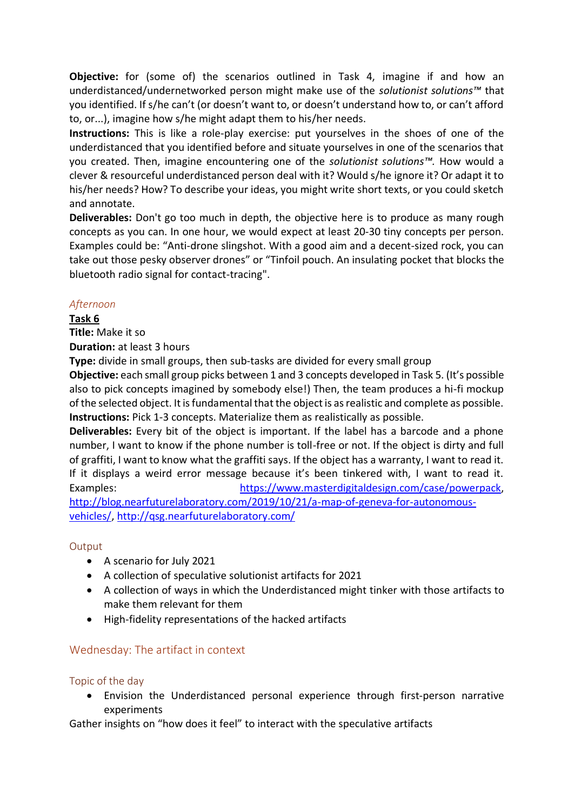**Objective:** for (some of) the scenarios outlined in Task 4, imagine if and how an underdistanced/undernetworked person might make use of the *solutionist solutions™* that you identified. If s/he can't (or doesn't want to, or doesn't understand how to, or can't afford to, or...), imagine how s/he might adapt them to his/her needs.

**Instructions:** This is like a role-play exercise: put yourselves in the shoes of one of the underdistanced that you identified before and situate yourselves in one of the scenarios that you created. Then, imagine encountering one of the *solutionist solutions™.* How would a clever & resourceful underdistanced person deal with it? Would s/he ignore it? Or adapt it to his/her needs? How? To describe your ideas, you might write short texts, or you could sketch and annotate.

**Deliverables:** Don't go too much in depth, the objective here is to produce as many rough concepts as you can. In one hour, we would expect at least 20-30 tiny concepts per person. Examples could be: "Anti-drone slingshot. With a good aim and a decent-sized rock, you can take out those pesky observer drones" or "Tinfoil pouch. An insulating pocket that blocks the bluetooth radio signal for contact-tracing".

# *Afternoon*

**Task 6**

**Title:** Make it so

**Duration:** at least 3 hours

**Type:** divide in small groups, then sub-tasks are divided for every small group

**Objective:** each small group picks between 1 and 3 concepts developed in Task 5. (It's possible also to pick concepts imagined by somebody else!) Then, the team produces a hi-fi mockup of the selected object. It is fundamental that the object is as realistic and complete as possible. **Instructions:** Pick 1-3 concepts. Materialize them as realistically as possible.

**Deliverables:** Every bit of the object is important. If the label has a barcode and a phone number, I want to know if the phone number is toll-free or not. If the object is dirty and full of graffiti, I want to know what the graffiti says. If the object has a warranty, I want to read it. If it displays a weird error message because it's been tinkered with, I want to read it. Examples: https://www.masterdigitaldesign.com/case/powerpack, [http://blog.nearfuturelaboratory.com/2019/10/21/a-map-of-geneva-for-autonomous-](http://blog.nearfuturelaboratory.com/2019/10/21/a-map-of-geneva-for-autonomous-vehicles/)

[vehicles/,](http://blog.nearfuturelaboratory.com/2019/10/21/a-map-of-geneva-for-autonomous-vehicles/)<http://qsg.nearfuturelaboratory.com/>

# **Output**

- A scenario for July 2021
- A collection of speculative solutionist artifacts for 2021
- A collection of ways in which the Underdistanced might tinker with those artifacts to make them relevant for them
- High-fidelity representations of the hacked artifacts

# Wednesday: The artifact in context

#### Topic of the day

• Envision the Underdistanced personal experience through first-person narrative experiments

Gather insights on "how does it feel" to interact with the speculative artifacts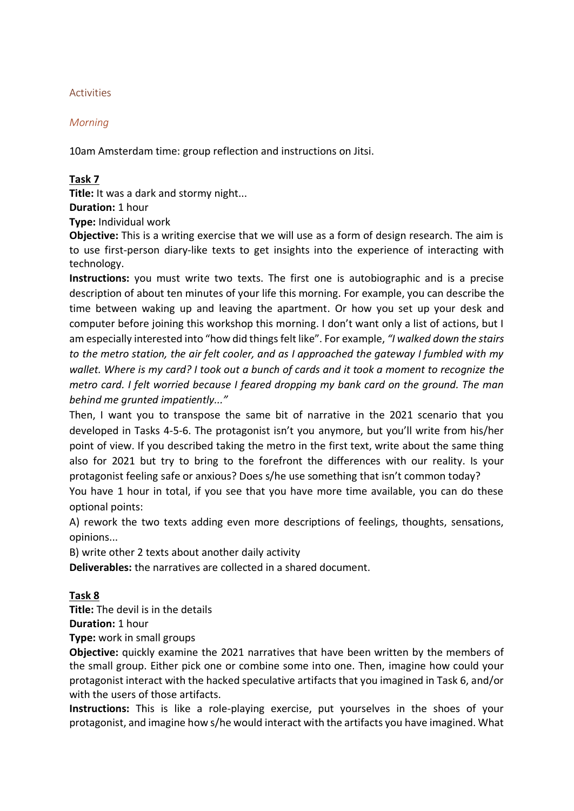### Activities

### *Morning*

10am Amsterdam time: group reflection and instructions on Jitsi.

#### **Task 7**

**Title:** It was a dark and stormy night...

**Duration:** 1 hour

**Type:** Individual work

**Objective:** This is a writing exercise that we will use as a form of design research. The aim is to use first-person diary-like texts to get insights into the experience of interacting with technology.

**Instructions:** you must write two texts. The first one is autobiographic and is a precise description of about ten minutes of your life this morning. For example, you can describe the time between waking up and leaving the apartment. Or how you set up your desk and computer before joining this workshop this morning. I don't want only a list of actions, but I am especially interested into "how did things felt like". For example, *"I walked down the stairs to the metro station, the air felt cooler, and as I approached the gateway I fumbled with my wallet. Where is my card? I took out a bunch of cards and it took a moment to recognize the metro card. I felt worried because I feared dropping my bank card on the ground. The man behind me grunted impatiently..."*

Then, I want you to transpose the same bit of narrative in the 2021 scenario that you developed in Tasks 4-5-6. The protagonist isn't you anymore, but you'll write from his/her point of view. If you described taking the metro in the first text, write about the same thing also for 2021 but try to bring to the forefront the differences with our reality. Is your protagonist feeling safe or anxious? Does s/he use something that isn't common today?

You have 1 hour in total, if you see that you have more time available, you can do these optional points:

A) rework the two texts adding even more descriptions of feelings, thoughts, sensations, opinions...

B) write other 2 texts about another daily activity

**Deliverables:** the narratives are collected in a shared document.

# **Task 8**

**Title:** The devil is in the details

**Duration:** 1 hour

**Type:** work in small groups

**Objective:** quickly examine the 2021 narratives that have been written by the members of the small group. Either pick one or combine some into one. Then, imagine how could your protagonist interact with the hacked speculative artifacts that you imagined in Task 6, and/or with the users of those artifacts.

**Instructions:** This is like a role-playing exercise, put yourselves in the shoes of your protagonist, and imagine how s/he would interact with the artifacts you have imagined. What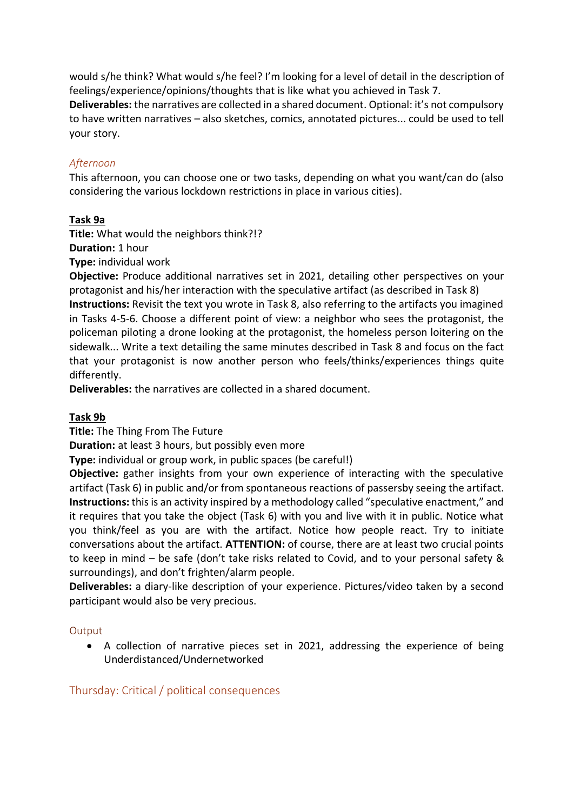would s/he think? What would s/he feel? I'm looking for a level of detail in the description of feelings/experience/opinions/thoughts that is like what you achieved in Task 7. **Deliverables:** the narratives are collected in a shared document. Optional: it's not compulsory to have written narratives – also sketches, comics, annotated pictures... could be used to tell your story.

### *Afternoon*

This afternoon, you can choose one or two tasks, depending on what you want/can do (also considering the various lockdown restrictions in place in various cities).

### **Task 9a**

**Title:** What would the neighbors think?!? **Duration:** 1 hour

**Type:** individual work

**Objective:** Produce additional narratives set in 2021, detailing other perspectives on your protagonist and his/her interaction with the speculative artifact (as described in Task 8) **Instructions:** Revisit the text you wrote in Task 8, also referring to the artifacts you imagined in Tasks 4-5-6. Choose a different point of view: a neighbor who sees the protagonist, the policeman piloting a drone looking at the protagonist, the homeless person loitering on the sidewalk... Write a text detailing the same minutes described in Task 8 and focus on the fact that your protagonist is now another person who feels/thinks/experiences things quite differently.

**Deliverables:** the narratives are collected in a shared document.

#### **Task 9b**

**Title:** The Thing From The Future

**Duration:** at least 3 hours, but possibly even more

**Type:** individual or group work, in public spaces (be careful!)

**Objective:** gather insights from your own experience of interacting with the speculative artifact (Task 6) in public and/or from spontaneous reactions of passersby seeing the artifact. **Instructions:** this is an activity inspired by a methodology called "speculative enactment," and it requires that you take the object (Task 6) with you and live with it in public. Notice what you think/feel as you are with the artifact. Notice how people react. Try to initiate conversations about the artifact. **ATTENTION:** of course, there are at least two crucial points to keep in mind – be safe (don't take risks related to Covid, and to your personal safety & surroundings), and don't frighten/alarm people.

**Deliverables:** a diary-like description of your experience. Pictures/video taken by a second participant would also be very precious.

#### **Output**

• A collection of narrative pieces set in 2021, addressing the experience of being Underdistanced/Undernetworked

Thursday: Critical / political consequences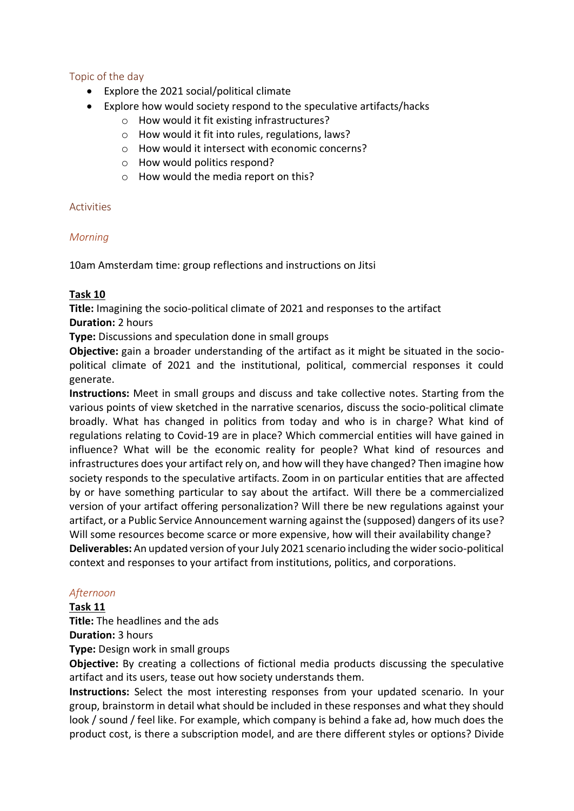# Topic of the day

- Explore the 2021 social/political climate
- Explore how would society respond to the speculative artifacts/hacks
	- o How would it fit existing infrastructures?
	- o How would it fit into rules, regulations, laws?
	- o How would it intersect with economic concerns?
	- o How would politics respond?
	- o How would the media report on this?

# Activities

# *Morning*

10am Amsterdam time: group reflections and instructions on Jitsi

# **Task 10**

**Title:** Imagining the socio-political climate of 2021 and responses to the artifact **Duration:** 2 hours

**Type:** Discussions and speculation done in small groups

**Objective:** gain a broader understanding of the artifact as it might be situated in the sociopolitical climate of 2021 and the institutional, political, commercial responses it could generate.

**Instructions:** Meet in small groups and discuss and take collective notes. Starting from the various points of view sketched in the narrative scenarios, discuss the socio-political climate broadly. What has changed in politics from today and who is in charge? What kind of regulations relating to Covid-19 are in place? Which commercial entities will have gained in influence? What will be the economic reality for people? What kind of resources and infrastructures does your artifact rely on, and how will they have changed? Then imagine how society responds to the speculative artifacts. Zoom in on particular entities that are affected by or have something particular to say about the artifact. Will there be a commercialized version of your artifact offering personalization? Will there be new regulations against your artifact, or a Public Service Announcement warning against the (supposed) dangers of its use? Will some resources become scarce or more expensive, how will their availability change? **Deliverables:** An updated version of your July 2021 scenario including the wider socio-political context and responses to your artifact from institutions, politics, and corporations.

# *Afternoon*

#### **Task 11**

**Title:** The headlines and the ads

**Duration:** 3 hours

**Type:** Design work in small groups

**Objective:** By creating a collections of fictional media products discussing the speculative artifact and its users, tease out how society understands them.

**Instructions:** Select the most interesting responses from your updated scenario. In your group, brainstorm in detail what should be included in these responses and what they should look / sound / feel like. For example, which company is behind a fake ad, how much does the product cost, is there a subscription model, and are there different styles or options? Divide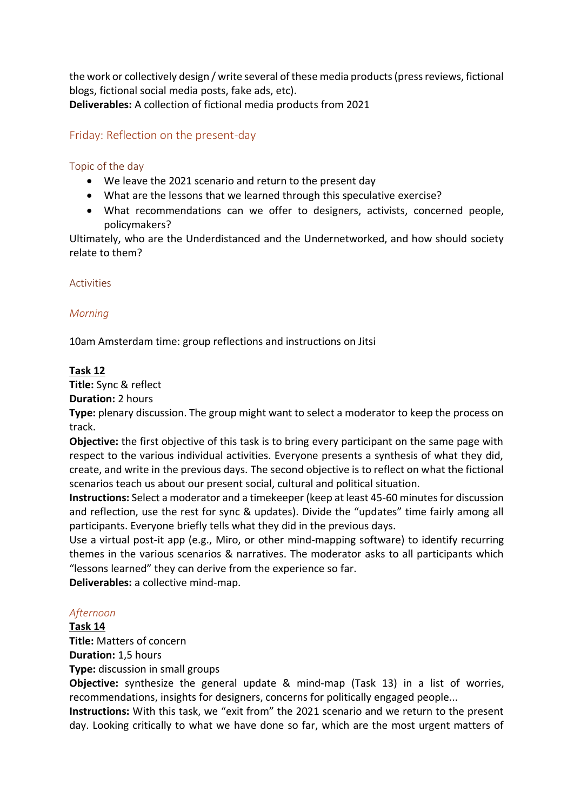the work or collectively design / write several of these media products (press reviews, fictional blogs, fictional social media posts, fake ads, etc). **Deliverables:** A collection of fictional media products from 2021

# Friday: Reflection on the present-day

### Topic of the day

- We leave the 2021 scenario and return to the present day
- What are the lessons that we learned through this speculative exercise?
- What recommendations can we offer to designers, activists, concerned people, policymakers?

Ultimately, who are the Underdistanced and the Undernetworked, and how should society relate to them?

#### Activities

### *Morning*

10am Amsterdam time: group reflections and instructions on Jitsi

### **Task 12**

**Title:** Sync & reflect

**Duration:** 2 hours

**Type:** plenary discussion. The group might want to select a moderator to keep the process on track.

**Objective:** the first objective of this task is to bring every participant on the same page with respect to the various individual activities. Everyone presents a synthesis of what they did, create, and write in the previous days. The second objective is to reflect on what the fictional scenarios teach us about our present social, cultural and political situation.

**Instructions:** Select a moderator and a timekeeper (keep at least 45-60 minutes for discussion and reflection, use the rest for sync & updates). Divide the "updates" time fairly among all participants. Everyone briefly tells what they did in the previous days.

Use a virtual post-it app (e.g., Miro, or other mind-mapping software) to identify recurring themes in the various scenarios & narratives. The moderator asks to all participants which "lessons learned" they can derive from the experience so far.

**Deliverables:** a collective mind-map.

#### *Afternoon*

**Task 14**

**Title:** Matters of concern

**Duration:** 1,5 hours

**Type:** discussion in small groups

**Objective:** synthesize the general update & mind-map (Task 13) in a list of worries, recommendations, insights for designers, concerns for politically engaged people...

**Instructions:** With this task, we "exit from" the 2021 scenario and we return to the present day. Looking critically to what we have done so far, which are the most urgent matters of